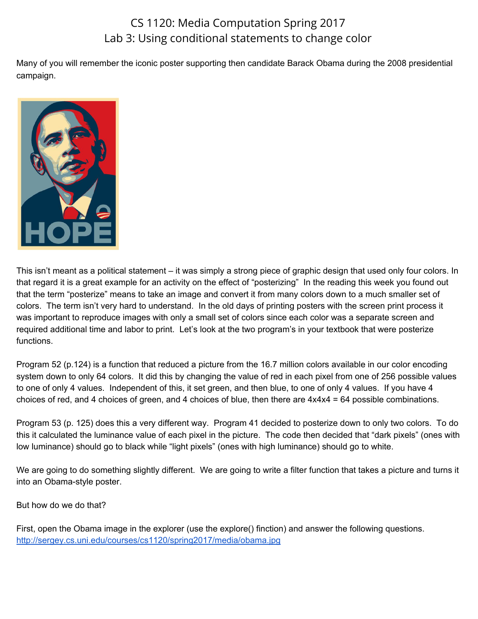## CS 1120: Media Computation Spring 2017 Lab 3: Using conditional statements to change color

Many of you will remember the iconic poster supporting then candidate Barack Obama during the 2008 presidential campaign.



This isn't meant as a political statement – it was simply a strong piece of graphic design that used only four colors. In that regard it is a great example for an activity on the effect of "posterizing" In the reading this week you found out that the term "posterize" means to take an image and convert it from many colors down to a much smaller set of colors. The term isn't very hard to understand. In the old days of printing posters with the screen print process it was important to reproduce images with only a small set of colors since each color was a separate screen and required additional time and labor to print. Let's look at the two program's in your textbook that were posterize functions.

Program 52 (p.124) is a function that reduced a picture from the 16.7 million colors available in our color encoding system down to only 64 colors. It did this by changing the value of red in each pixel from one of 256 possible values to one of only 4 values. Independent of this, it set green, and then blue, to one of only 4 values. If you have 4 choices of red, and 4 choices of green, and 4 choices of blue, then there are 4x4x4 = 64 possible combinations.

Program 53 (p. 125) does this a very different way. Program 41 decided to posterize down to only two colors. To do this it calculated the luminance value of each pixel in the picture. The code then decided that "dark pixels" (ones with low luminance) should go to black while "light pixels" (ones with high luminance) should go to white.

We are going to do something slightly different. We are going to write a filter function that takes a picture and turns it into an Obama-style poster.

But how do we do that?

First, open the Obama image in the explorer (use the explore() finction) and answer the following questions. <http://sergey.cs.uni.edu/courses/cs1120/spring2017/media/obama.jpg>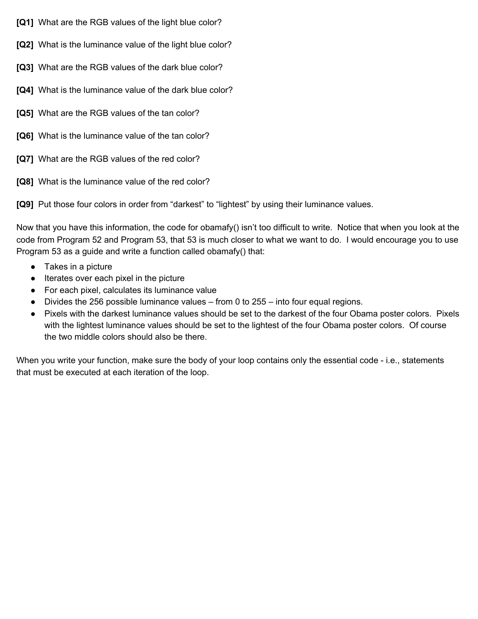- **[Q1]** What are the RGB values of the light blue color?
- **[Q2]** What is the luminance value of the light blue color?
- **[Q3]** What are the RGB values of the dark blue color?
- **[Q4]** What is the luminance value of the dark blue color?
- **[Q5]** What are the RGB values of the tan color?
- **[Q6]** What is the luminance value of the tan color?
- **[Q7]** What are the RGB values of the red color?
- **[Q8]** What is the luminance value of the red color?

**[Q9]** Put those four colors in order from "darkest" to "lightest" by using their luminance values.

Now that you have this information, the code for obamafy() isn't too difficult to write. Notice that when you look at the code from Program 52 and Program 53, that 53 is much closer to what we want to do. I would encourage you to use Program 53 as a guide and write a function called obamafy() that:

- Takes in a picture
- Iterates over each pixel in the picture
- For each pixel, calculates its luminance value
- $\bullet$  Divides the 256 possible luminance values from 0 to 255 into four equal regions.
- Pixels with the darkest luminance values should be set to the darkest of the four Obama poster colors. Pixels with the lightest luminance values should be set to the lightest of the four Obama poster colors. Of course the two middle colors should also be there.

When you write your function, make sure the body of your loop contains only the essential code - i.e., statements that must be executed at each iteration of the loop.